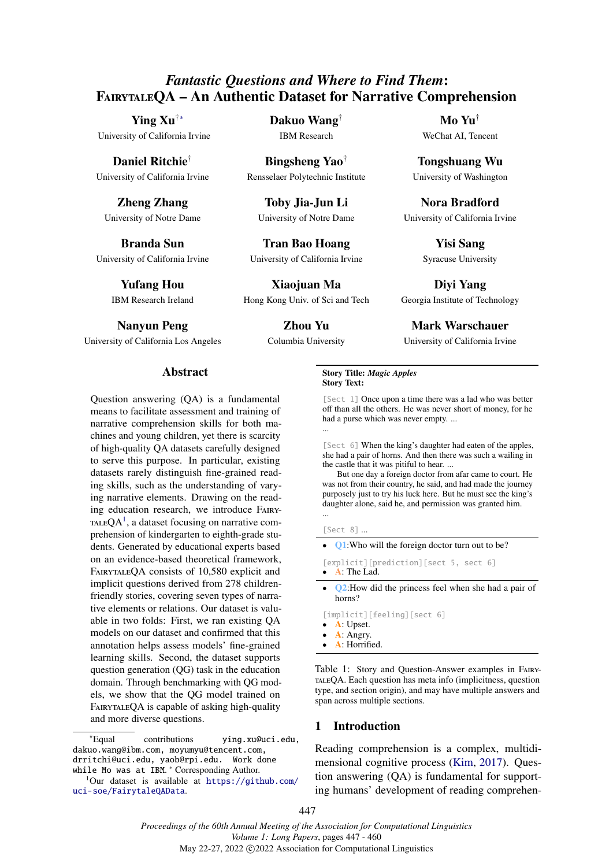# <span id="page-0-0"></span>*Fantastic Questions and Where to Find Them*: FairytaleQA – An Authentic Dataset for Narrative Comprehension

Ying Xu[†∗](#page-0-0) University of California Irvine

Daniel Ritchie† University of California Irvine

Zheng Zhang University of Notre Dame

Branda Sun University of California Irvine

> Yufang Hou IBM Research Ireland

Nanyun Peng

University of California Los Angeles

## Dakuo Wang†

IBM Research

Bingsheng Yao† Rensselaer Polytechnic Institute

Toby Jia-Jun Li University of Notre Dame

Tran Bao Hoang University of California Irvine

Xiaojuan Ma Hong Kong Univ. of Sci and Tech

> Zhou Yu Columbia University

Nora Bradford University of California Irvine

> Yisi Sang Syracuse University

> Mo Yu† WeChat AI, Tencent

Tongshuang Wu University of Washington

Diyi Yang Georgia Institute of Technology

Mark Warschauer

University of California Irvine

## Abstract

Question answering (QA) is a fundamental means to facilitate assessment and training of narrative comprehension skills for both machines and young children, yet there is scarcity of high-quality QA datasets carefully designed to serve this purpose. In particular, existing datasets rarely distinguish fine-grained reading skills, such as the understanding of varying narrative elements. Drawing on the reading education research, we introduce Fairy-TALEQ $A<sup>1</sup>$  $A<sup>1</sup>$  $A<sup>1</sup>$ , a dataset focusing on narrative comprehension of kindergarten to eighth-grade students. Generated by educational experts based on an evidence-based theoretical framework, FAIRYTALEOA consists of 10,580 explicit and implicit questions derived from 278 childrenfriendly stories, covering seven types of narrative elements or relations. Our dataset is valuable in two folds: First, we ran existing QA models on our dataset and confirmed that this annotation helps assess models' fine-grained learning skills. Second, the dataset supports question generation (QG) task in the education domain. Through benchmarking with QG models, we show that the QG model trained on FAIRYTALEQA is capable of asking high-quality and more diverse questions.

<span id="page-0-1"></span>[uci-soe/FairytaleQAData](https://github.com/uci-soe/FairytaleQAData).

<span id="page-0-2"></span>Story Title: *Magic Apples* Story Text:

[Sect 1] Once upon a time there was a lad who was better off than all the others. He was never short of money, for he had a purse which was never empty. ... ...

[Sect 6] When the king's daughter had eaten of the apples, she had a pair of horns. And then there was such a wailing in the castle that it was pitiful to hear. ...

But one day a foreign doctor from afar came to court. He was not from their country, he said, and had made the journey purposely just to try his luck here. But he must see the king's daughter alone, said he, and permission was granted him. ...

[Sect 8] ...

- **Q1:**Who will the foreign doctor turn out to be?
- [explicit][prediction][sect 5, sect 6] • A: The Lad.
- Q2:How did the princess feel when she had a pair of horns?
- [implicit][feeling][sect 6]
- **A**: Upset.
- **A**: Angry.
- A: Horrified.

Table 1: Story and Question-Answer examples in FairytaleQA. Each question has meta info (implicitness, question type, and section origin), and may have multiple answers and span across multiple sections.

## 1 Introduction

Reading comprehension is a complex, multidimensional cognitive process [\(Kim,](#page-9-0) [2017\)](#page-9-0). Question answering (QA) is fundamental for supporting humans' development of reading comprehen-

447

<sup>∗†</sup>Equal contributions ying.xu@uci.edu, dakuo.wang@ibm.com, moyumyu@tencent.com, drritchi@uci.edu, yaob@rpi.edu. Work done while Mo was at IBM. \* Corresponding Author. <sup>1</sup>Our dataset is available at [https://github.com/](https://github.com/uci-soe/FairytaleQAData)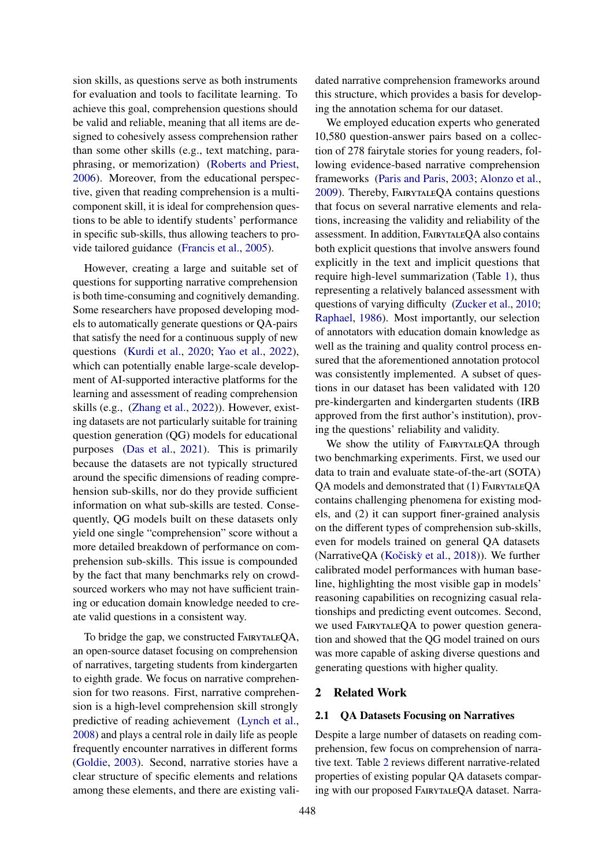sion skills, as questions serve as both instruments for evaluation and tools to facilitate learning. To achieve this goal, comprehension questions should be valid and reliable, meaning that all items are designed to cohesively assess comprehension rather than some other skills (e.g., text matching, paraphrasing, or memorization) [\(Roberts and Priest,](#page-10-0) [2006\)](#page-10-0). Moreover, from the educational perspective, given that reading comprehension is a multicomponent skill, it is ideal for comprehension questions to be able to identify students' performance in specific sub-skills, thus allowing teachers to provide tailored guidance [\(Francis et al.,](#page-9-1) [2005\)](#page-9-1).

However, creating a large and suitable set of questions for supporting narrative comprehension is both time-consuming and cognitively demanding. Some researchers have proposed developing models to automatically generate questions or QA-pairs that satisfy the need for a continuous supply of new questions [\(Kurdi et al.,](#page-9-2) [2020;](#page-9-2) [Yao et al.,](#page-10-1) [2022\)](#page-10-1), which can potentially enable large-scale development of AI-supported interactive platforms for the learning and assessment of reading comprehension skills (e.g., [\(Zhang et al.,](#page-10-2) [2022\)](#page-10-2)). However, existing datasets are not particularly suitable for training question generation (QG) models for educational purposes [\(Das et al.,](#page-9-3) [2021\)](#page-9-3). This is primarily because the datasets are not typically structured around the specific dimensions of reading comprehension sub-skills, nor do they provide sufficient information on what sub-skills are tested. Consequently, QG models built on these datasets only yield one single "comprehension" score without a more detailed breakdown of performance on comprehension sub-skills. This issue is compounded by the fact that many benchmarks rely on crowdsourced workers who may not have sufficient training or education domain knowledge needed to create valid questions in a consistent way.

To bridge the gap, we constructed FairytaleQA, an open-source dataset focusing on comprehension of narratives, targeting students from kindergarten to eighth grade. We focus on narrative comprehension for two reasons. First, narrative comprehension is a high-level comprehension skill strongly predictive of reading achievement [\(Lynch et al.,](#page-9-4) [2008\)](#page-9-4) and plays a central role in daily life as people frequently encounter narratives in different forms [\(Goldie,](#page-9-5) [2003\)](#page-9-5). Second, narrative stories have a clear structure of specific elements and relations among these elements, and there are existing validated narrative comprehension frameworks around this structure, which provides a basis for developing the annotation schema for our dataset.

We employed education experts who generated 10,580 question-answer pairs based on a collection of 278 fairytale stories for young readers, following evidence-based narrative comprehension frameworks [\(Paris and Paris,](#page-10-3) [2003;](#page-10-3) [Alonzo et al.,](#page-9-6) [2009\)](#page-9-6). Thereby, FairytaleQA contains questions that focus on several narrative elements and relations, increasing the validity and reliability of the assessment. In addition, FairytaleQA also contains both explicit questions that involve answers found explicitly in the text and implicit questions that require high-level summarization (Table [1\)](#page-0-2), thus representing a relatively balanced assessment with questions of varying difficulty [\(Zucker et al.,](#page-10-4) [2010;](#page-10-4) [Raphael,](#page-10-5) [1986\)](#page-10-5). Most importantly, our selection of annotators with education domain knowledge as well as the training and quality control process ensured that the aforementioned annotation protocol was consistently implemented. A subset of questions in our dataset has been validated with 120 pre-kindergarten and kindergarten students (IRB approved from the first author's institution), proving the questions' reliability and validity.

We show the utility of FAIRYTALEQA through two benchmarking experiments. First, we used our data to train and evaluate state-of-the-art (SOTA) QA models and demonstrated that (1) FairytaleQA contains challenging phenomena for existing models, and (2) it can support finer-grained analysis on the different types of comprehension sub-skills, even for models trained on general QA datasets (NarrativeQA (Kočiskỳ et al., [2018\)](#page-9-7)). We further calibrated model performances with human baseline, highlighting the most visible gap in models' reasoning capabilities on recognizing casual relationships and predicting event outcomes. Second, we used FAIRYTALEQA to power question generation and showed that the QG model trained on ours was more capable of asking diverse questions and generating questions with higher quality.

### 2 Related Work

## 2.1 QA Datasets Focusing on Narratives

Despite a large number of datasets on reading comprehension, few focus on comprehension of narrative text. Table [2](#page-2-0) reviews different narrative-related properties of existing popular QA datasets comparing with our proposed FAIRYTALEQA dataset. Narra-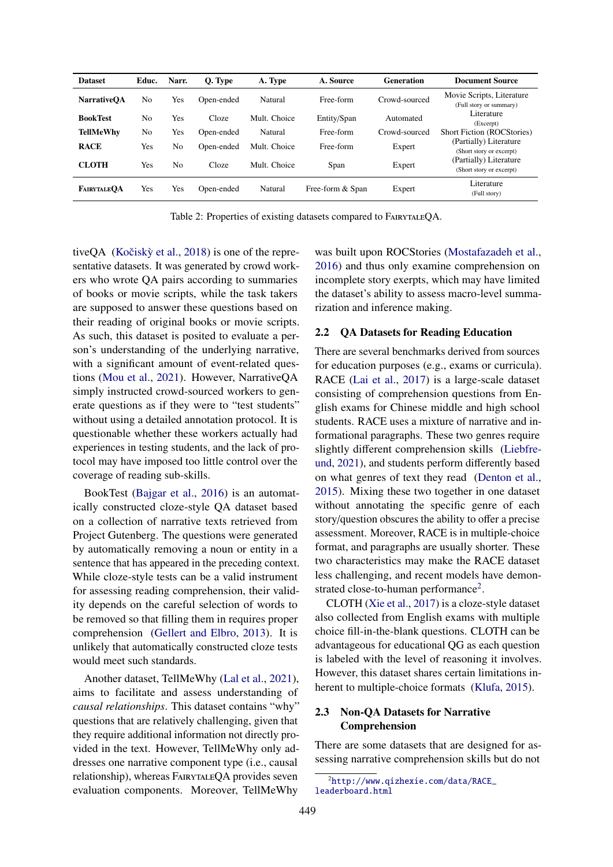<span id="page-2-0"></span>

| <b>Dataset</b>     | Educ.          | Narr.          | Q. Type    | A. Type      | A. Source        | <b>Generation</b> | <b>Document Source</b>                               |
|--------------------|----------------|----------------|------------|--------------|------------------|-------------------|------------------------------------------------------|
| <b>NarrativeOA</b> | No             | Yes            | Open-ended | Natural      | Free-form        | Crowd-sourced     | Movie Scripts, Literature<br>(Full story or summary) |
| <b>BookTest</b>    | No             | Yes            | Cloze      | Mult. Choice | Entity/Span      | Automated         | Literature<br>(Excerpt)                              |
| <b>TellMeWhy</b>   | N <sub>0</sub> | Yes            | Open-ended | Natural      | Free-form        | Crowd-sourced     | <b>Short Fiction (ROCStories)</b>                    |
| <b>RACE</b>        | Yes            | No.            | Open-ended | Mult. Choice | Free-form        | Expert            | (Partially) Literature<br>(Short story or excerpt)   |
| <b>CLOTH</b>       | Yes            | N <sub>0</sub> | Cloze      | Mult. Choice | Span             | Expert            | (Partially) Literature<br>(Short story or excerpt)   |
| <b>FAIRYTALEOA</b> | Yes            | Yes            | Open-ended | Natural      | Free-form & Span | Expert            | Literature<br>(Full story)                           |

Table 2: Properties of existing datasets compared to FairytaleQA.

tive $QA$  (Kočiskỳ et al., [2018\)](#page-9-7) is one of the representative datasets. It was generated by crowd workers who wrote QA pairs according to summaries of books or movie scripts, while the task takers are supposed to answer these questions based on their reading of original books or movie scripts. As such, this dataset is posited to evaluate a person's understanding of the underlying narrative, with a significant amount of event-related questions [\(Mou et al.,](#page-10-6) [2021\)](#page-10-6). However, NarrativeQA simply instructed crowd-sourced workers to generate questions as if they were to "test students" without using a detailed annotation protocol. It is questionable whether these workers actually had experiences in testing students, and the lack of protocol may have imposed too little control over the coverage of reading sub-skills.

BookTest [\(Bajgar et al.,](#page-9-8) [2016\)](#page-9-8) is an automatically constructed cloze-style QA dataset based on a collection of narrative texts retrieved from Project Gutenberg. The questions were generated by automatically removing a noun or entity in a sentence that has appeared in the preceding context. While cloze-style tests can be a valid instrument for assessing reading comprehension, their validity depends on the careful selection of words to be removed so that filling them in requires proper comprehension [\(Gellert and Elbro,](#page-9-9) [2013\)](#page-9-9). It is unlikely that automatically constructed cloze tests would meet such standards.

Another dataset, TellMeWhy [\(Lal et al.,](#page-9-10) [2021\)](#page-9-10), aims to facilitate and assess understanding of *causal relationships*. This dataset contains "why" questions that are relatively challenging, given that they require additional information not directly provided in the text. However, TellMeWhy only addresses one narrative component type (i.e., causal relationship), whereas FairytaleQA provides seven evaluation components. Moreover, TellMeWhy

was built upon ROCStories [\(Mostafazadeh et al.,](#page-10-7) [2016\)](#page-10-7) and thus only examine comprehension on incomplete story exerpts, which may have limited the dataset's ability to assess macro-level summarization and inference making.

### 2.2 QA Datasets for Reading Education

There are several benchmarks derived from sources for education purposes (e.g., exams or curricula). RACE [\(Lai et al.,](#page-9-11) [2017\)](#page-9-11) is a large-scale dataset consisting of comprehension questions from English exams for Chinese middle and high school students. RACE uses a mixture of narrative and informational paragraphs. These two genres require slightly different comprehension skills [\(Liebfre](#page-9-12)[und,](#page-9-12) [2021\)](#page-9-12), and students perform differently based on what genres of text they read [\(Denton et al.,](#page-9-13) [2015\)](#page-9-13). Mixing these two together in one dataset without annotating the specific genre of each story/question obscures the ability to offer a precise assessment. Moreover, RACE is in multiple-choice format, and paragraphs are usually shorter. These two characteristics may make the RACE dataset less challenging, and recent models have demon-strated close-to-human performance<sup>[2](#page-2-1)</sup>.

CLOTH [\(Xie et al.,](#page-10-8) [2017\)](#page-10-8) is a cloze-style dataset also collected from English exams with multiple choice fill-in-the-blank questions. CLOTH can be advantageous for educational QG as each question is labeled with the level of reasoning it involves. However, this dataset shares certain limitations inherent to multiple-choice formats [\(Klufa,](#page-9-14) [2015\)](#page-9-14).

## 2.3 Non-QA Datasets for Narrative Comprehension

There are some datasets that are designed for assessing narrative comprehension skills but do not

<span id="page-2-1"></span><sup>2</sup>[http://www.qizhexie.com/data/RACE\\_](http://www.qizhexie.com/data/RACE_leaderboard.html) [leaderboard.html](http://www.qizhexie.com/data/RACE_leaderboard.html)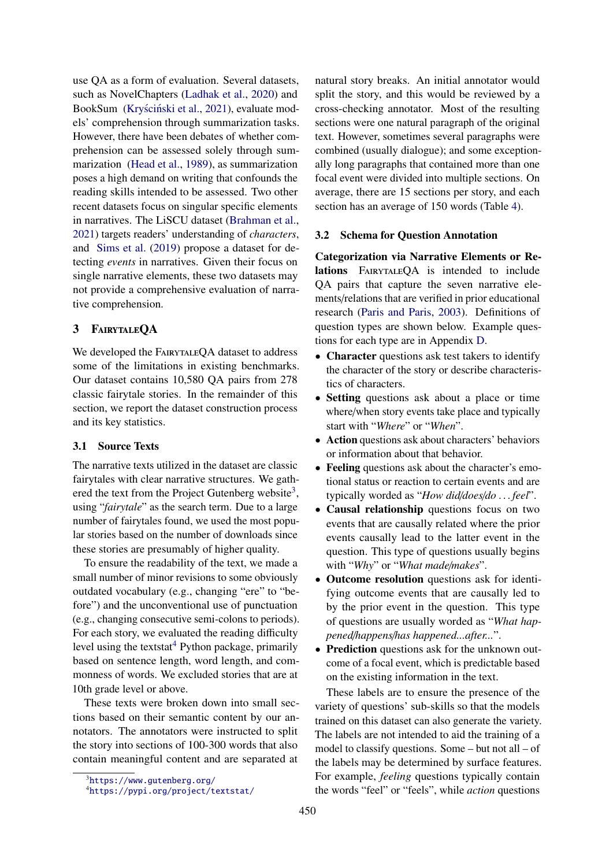use QA as a form of evaluation. Several datasets, such as NovelChapters [\(Ladhak et al.,](#page-9-15) [2020\)](#page-9-15) and BookSum (Kryściński et al., [2021\)](#page-9-16), evaluate models' comprehension through summarization tasks. However, there have been debates of whether comprehension can be assessed solely through summarization [\(Head et al.,](#page-9-17) [1989\)](#page-9-17), as summarization poses a high demand on writing that confounds the reading skills intended to be assessed. Two other recent datasets focus on singular specific elements in narratives. The LiSCU dataset [\(Brahman et al.,](#page-9-18) [2021\)](#page-9-18) targets readers' understanding of *characters*, and [Sims et al.](#page-10-9) [\(2019\)](#page-10-9) propose a dataset for detecting *events* in narratives. Given their focus on single narrative elements, these two datasets may not provide a comprehensive evaluation of narrative comprehension.

## 3 FairytaleQA

We developed the FAIRYTALEQA dataset to address some of the limitations in existing benchmarks. Our dataset contains 10,580 QA pairs from 278 classic fairytale stories. In the remainder of this section, we report the dataset construction process and its key statistics.

### 3.1 Source Texts

The narrative texts utilized in the dataset are classic fairytales with clear narrative structures. We gath-ered the text from the Project Gutenberg website<sup>[3](#page-3-0)</sup>, using "*fairytale*" as the search term. Due to a large number of fairytales found, we used the most popular stories based on the number of downloads since these stories are presumably of higher quality.

To ensure the readability of the text, we made a small number of minor revisions to some obviously outdated vocabulary (e.g., changing "ere" to "before") and the unconventional use of punctuation (e.g., changing consecutive semi-colons to periods). For each story, we evaluated the reading difficulty level using the textstat<sup>[4](#page-3-1)</sup> Python package, primarily based on sentence length, word length, and commonness of words. We excluded stories that are at 10th grade level or above.

These texts were broken down into small sections based on their semantic content by our annotators. The annotators were instructed to split the story into sections of 100-300 words that also contain meaningful content and are separated at

natural story breaks. An initial annotator would split the story, and this would be reviewed by a cross-checking annotator. Most of the resulting sections were one natural paragraph of the original text. However, sometimes several paragraphs were combined (usually dialogue); and some exceptionally long paragraphs that contained more than one focal event were divided into multiple sections. On average, there are 15 sections per story, and each section has an average of 150 words (Table [4\)](#page-5-0).

### <span id="page-3-2"></span>3.2 Schema for Question Annotation

Categorization via Narrative Elements or Relations FAIRYTALEQA is intended to include QA pairs that capture the seven narrative elements/relations that are verified in prior educational research [\(Paris and Paris,](#page-10-3) [2003\)](#page-10-3). Definitions of question types are shown below. Example questions for each type are in Appendix [D.](#page-13-0)

- Character questions ask test takers to identify the character of the story or describe characteristics of characters.
- Setting questions ask about a place or time where/when story events take place and typically start with "*Where*" or "*When*".
- Action questions ask about characters' behaviors or information about that behavior.
- Feeling questions ask about the character's emotional status or reaction to certain events and are typically worded as "*How did*/*does*/*do . . . feel*".
- Causal relationship questions focus on two events that are causally related where the prior events causally lead to the latter event in the question. This type of questions usually begins with "*Why*" or "*What made*/*makes*".
- Outcome resolution questions ask for identifying outcome events that are causally led to by the prior event in the question. This type of questions are usually worded as "*What happened*/*happens*/*has happened...after...*".
- Prediction questions ask for the unknown outcome of a focal event, which is predictable based on the existing information in the text.

These labels are to ensure the presence of the variety of questions' sub-skills so that the models trained on this dataset can also generate the variety. The labels are not intended to aid the training of a model to classify questions. Some – but not all – of the labels may be determined by surface features. For example, *feeling* questions typically contain the words "feel" or "feels", while *action* questions

<span id="page-3-0"></span> ${}^{3}$ <https://www.gutenberg.org/>

<span id="page-3-1"></span><sup>4</sup><https://pypi.org/project/textstat/>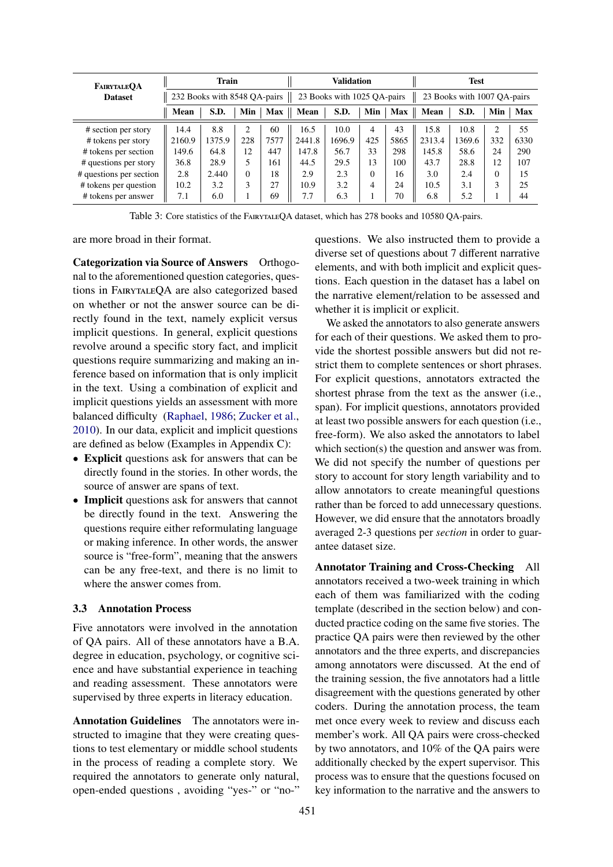<span id="page-4-0"></span>

| FAIRYTALEOA             |                                                                                            | Train  |                |            |        | Validation |          |      |                      | <b>Test</b> |                |      |
|-------------------------|--------------------------------------------------------------------------------------------|--------|----------------|------------|--------|------------|----------|------|----------------------|-------------|----------------|------|
| <b>Dataset</b>          | 232 Books with 8548 QA-pairs<br>23 Books with 1025 QA-pairs<br>23 Books with 1007 QA-pairs |        |                |            |        |            |          |      |                      |             |                |      |
|                         | Mean                                                                                       | S.D.   | Min            | <b>Max</b> | Mean   | S.D.       | Min      |      | $Max \parallel Mean$ | S.D.        | Min            | Max  |
| # section per story     | 14.4                                                                                       | 8.8    | $\overline{c}$ | 60         | 16.5   | 10.0       | 4        | 43   | 15.8                 | 10.8        | $\overline{c}$ | 55   |
| # tokens per story      | 2160.9                                                                                     | 1375.9 | 228            | 7577       | 2441.8 | 1696.9     | 425      | 5865 | 2313.4               | 1369.6      | 332            | 6330 |
| # tokens per section    | 149.6                                                                                      | 64.8   | 12             | 447        | 147.8  | 56.7       | 33       | 298  | 145.8                | 58.6        | 24             | 290  |
| # questions per story   | 36.8                                                                                       | 28.9   | 5              | 161        | 44.5   | 29.5       | 13       | 100  | 43.7                 | 28.8        | 12             | 107  |
| # questions per section | 2.8                                                                                        | 2.440  | $\Omega$       | 18         | 2.9    | 2.3        | $\Omega$ | 16   | 3.0                  | 2.4         | $\Omega$       | 15   |
| # tokens per question   | 10.2                                                                                       | 3.2    | 3              | 27         | 10.9   | 3.2        | 4        | 24   | 10.5                 | 3.1         | 3              | 25   |
| # tokens per answer     | 7.1                                                                                        | 6.0    |                | 69         | 7.7    | 6.3        | 1        | 70   | 6.8                  | 5.2         |                | 44   |

Table 3: Core statistics of the FairytaleQA dataset, which has 278 books and 10580 QA-pairs.

are more broad in their format.

Categorization via Source of Answers Orthogonal to the aforementioned question categories, questions in FairytaleQA are also categorized based on whether or not the answer source can be directly found in the text, namely explicit versus implicit questions. In general, explicit questions revolve around a specific story fact, and implicit questions require summarizing and making an inference based on information that is only implicit in the text. Using a combination of explicit and implicit questions yields an assessment with more balanced difficulty [\(Raphael,](#page-10-5) [1986;](#page-10-5) [Zucker et al.,](#page-10-4) [2010\)](#page-10-4). In our data, explicit and implicit questions are defined as below (Examples in Appendix C):

- Explicit questions ask for answers that can be directly found in the stories. In other words, the source of answer are spans of text.
- Implicit questions ask for answers that cannot be directly found in the text. Answering the questions require either reformulating language or making inference. In other words, the answer source is "free-form", meaning that the answers can be any free-text, and there is no limit to where the answer comes from.

### 3.3 Annotation Process

Five annotators were involved in the annotation of QA pairs. All of these annotators have a B.A. degree in education, psychology, or cognitive science and have substantial experience in teaching and reading assessment. These annotators were supervised by three experts in literacy education.

Annotation Guidelines The annotators were instructed to imagine that they were creating questions to test elementary or middle school students in the process of reading a complete story. We required the annotators to generate only natural, open-ended questions , avoiding "yes-" or "no-" questions. We also instructed them to provide a diverse set of questions about 7 different narrative elements, and with both implicit and explicit questions. Each question in the dataset has a label on the narrative element/relation to be assessed and whether it is implicit or explicit.

We asked the annotators to also generate answers for each of their questions. We asked them to provide the shortest possible answers but did not restrict them to complete sentences or short phrases. For explicit questions, annotators extracted the shortest phrase from the text as the answer (i.e., span). For implicit questions, annotators provided at least two possible answers for each question (i.e., free-form). We also asked the annotators to label which section(s) the question and answer was from. We did not specify the number of questions per story to account for story length variability and to allow annotators to create meaningful questions rather than be forced to add unnecessary questions. However, we did ensure that the annotators broadly averaged 2-3 questions per *section* in order to guarantee dataset size.

Annotator Training and Cross-Checking All annotators received a two-week training in which each of them was familiarized with the coding template (described in the section below) and conducted practice coding on the same five stories. The practice QA pairs were then reviewed by the other annotators and the three experts, and discrepancies among annotators were discussed. At the end of the training session, the five annotators had a little disagreement with the questions generated by other coders. During the annotation process, the team met once every week to review and discuss each member's work. All QA pairs were cross-checked by two annotators, and 10% of the QA pairs were additionally checked by the expert supervisor. This process was to ensure that the questions focused on key information to the narrative and the answers to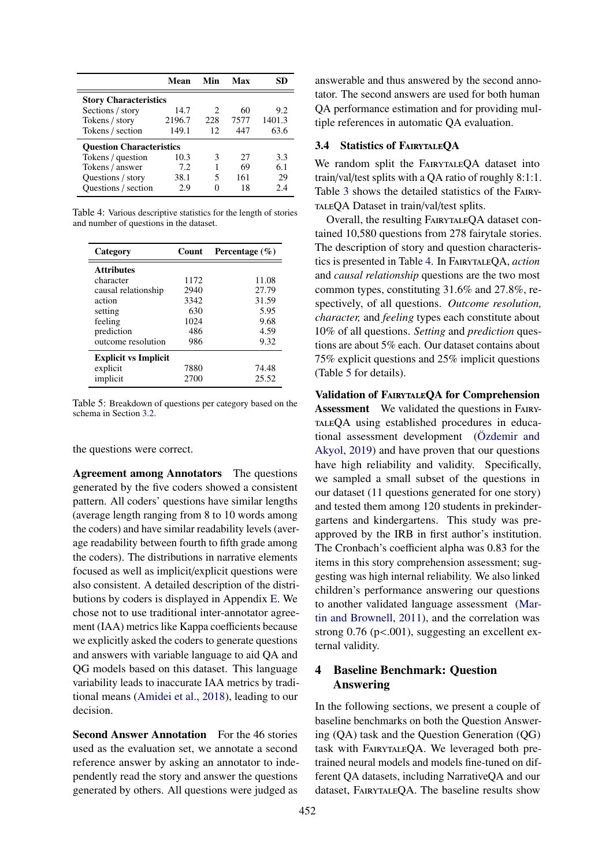<span id="page-5-0"></span>

|                                 | Mean   | Min | Max  |        |  |  |  |  |
|---------------------------------|--------|-----|------|--------|--|--|--|--|
| <b>Story Characteristics</b>    |        |     |      |        |  |  |  |  |
| Sections / story                | 14.7   | 2   | 60   | 9.2    |  |  |  |  |
| Tokens / story                  | 2196.7 | 228 | 7577 | 1401.3 |  |  |  |  |
| Tokens / section                | 149.1  | 12  | 447  | 63.6   |  |  |  |  |
| <b>Ouestion Characteristics</b> |        |     |      |        |  |  |  |  |
| Tokens / question               | 10.3   | 3   | 27   | 3.3    |  |  |  |  |
| Tokens / answer                 | 7.2    |     | 69   | 6.1    |  |  |  |  |
| Questions / story               | 38.1   | 5   | 161  | 29     |  |  |  |  |
| Questions / section             | 2.9    |     | 18   | 2.4    |  |  |  |  |

Table 4: Various descriptive statistics for the length of stories and number of questions in the dataset.

<span id="page-5-1"></span>

| Category                    | Count | Percentage $(\% )$ |
|-----------------------------|-------|--------------------|
| <b>Attributes</b>           |       |                    |
| character                   | 1172  | 11.08              |
| causal relationship         | 2940  | 27.79              |
| action                      | 3342  | 31.59              |
| setting                     | 630   | 5.95               |
| feeling                     | 1024  | 9.68               |
| prediction                  | 486   | 4.59               |
| outcome resolution          | 986   | 9.32               |
| <b>Explicit vs Implicit</b> |       |                    |
| explicit                    | 7880  | 74.48              |
| implicit                    | 2700  | 25.52              |

Table 5: Breakdown of questions per category based on the schema in Section [3.2.](#page-3-2)

the questions were correct.

Agreement among Annotators The questions generated by the five coders showed a consistent pattern. All coders' questions have similar lengths (average length ranging from 8 to 10 words among the coders) and have similar readability levels (average readability between fourth to fifth grade among the coders). The distributions in narrative elements focused as well as implicit/explicit questions were also consistent. A detailed description of the distributions by coders is displayed in Appendix [E.](#page-13-1) We chose not to use traditional inter-annotator agreement (IAA) metrics like Kappa coefficients because we explicitly asked the coders to generate questions and answers with variable language to aid QA and QG models based on this dataset. This language variability leads to inaccurate IAA metrics by traditional means [\(Amidei et al.,](#page-9-19) [2018\)](#page-9-19), leading to our decision.

Second Answer Annotation For the 46 stories used as the evaluation set, we annotate a second reference answer by asking an annotator to independently read the story and answer the questions generated by others. All questions were judged as

answerable and thus answered by the second annotator. The second answers are used for both human QA performance estimation and for providing multiple references in automatic QA evaluation.

### 3.4 Statistics of FairytaleQA

We random split the FAIRYTALEQA dataset into train/val/test splits with a QA ratio of roughly 8:1:1. Table [3](#page-4-0) shows the detailed statistics of the Fairy-TALEQA Dataset in train/val/test splits.

Overall, the resulting FairytaleQA dataset contained 10,580 questions from 278 fairytale stories. The description of story and question characteristics is presented in Table [4.](#page-5-0) In FairytaleQA, *action* and *causal relationship* questions are the two most common types, constituting 31.6% and 27.8%, respectively, of all questions. *Outcome resolution, character,* and *feeling* types each constitute about 10% of all questions. *Setting* and *prediction* questions are about 5% each. Our dataset contains about 75% explicit questions and 25% implicit questions (Table [5](#page-5-1) for details).

Validation of FairytaleQA for Comprehension Assessment We validated the questions in FairytaleQA using established procedures in educational assessment development [\(Özdemir and](#page-10-10) [Akyol,](#page-10-10) [2019\)](#page-10-10) and have proven that our questions have high reliability and validity. Specifically, we sampled a small subset of the questions in our dataset (11 questions generated for one story) and tested them among 120 students in prekindergartens and kindergartens. This study was preapproved by the IRB in first author's institution. The Cronbach's coefficient alpha was 0.83 for the items in this story comprehension assessment; suggesting was high internal reliability. We also linked children's performance answering our questions to another validated language assessment [\(Mar](#page-9-20)[tin and Brownell,](#page-9-20) [2011\)](#page-9-20), and the correlation was strong  $0.76$  (p<.001), suggesting an excellent external validity.

## 4 Baseline Benchmark: Question Answering

In the following sections, we present a couple of baseline benchmarks on both the Question Answering (QA) task and the Question Generation (QG) task with FAIRYTALEQA. We leveraged both pretrained neural models and models fine-tuned on different QA datasets, including NarrativeQA and our dataset, FairytaleQA. The baseline results show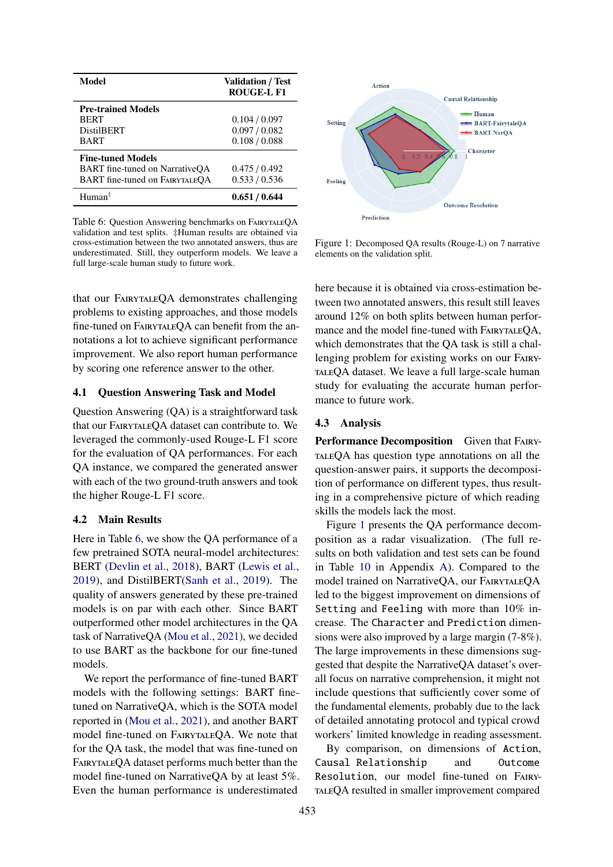<span id="page-6-0"></span>

| Model                                                                                               | <b>Validation / Test</b><br>ROUGE-L F1          |
|-----------------------------------------------------------------------------------------------------|-------------------------------------------------|
| <b>Pre-trained Models</b><br><b>BERT</b><br><b>DistilBERT</b><br><b>BART</b>                        | 0.104 / 0.097<br>0.097 / 0.082<br>0.108 / 0.088 |
| <b>Fine-tuned Models</b><br>BART fine-tuned on NarrativeQA<br><b>BART</b> fine-tuned on FAIRYTALEQA | 0.475/0.492<br>0.533 / 0.536                    |
| $H$ uman $\ddagger$                                                                                 | 0.651/0.644                                     |

Table 6: Question Answering benchmarks on FairytaleQA validation and test splits. ‡Human results are obtained via cross-estimation between the two annotated answers, thus are underestimated. Still, they outperform models. We leave a full large-scale human study to future work.

that our FAIRYTALEQA demonstrates challenging problems to existing approaches, and those models fine-tuned on FairytaleQA can benefit from the annotations a lot to achieve significant performance improvement. We also report human performance by scoring one reference answer to the other.

#### 4.1 Question Answering Task and Model

Question Answering (QA) is a straightforward task that our FairytaleQA dataset can contribute to. We leveraged the commonly-used Rouge-L F1 score for the evaluation of QA performances. For each QA instance, we compared the generated answer with each of the two ground-truth answers and took the higher Rouge-L F1 score.

#### 4.2 Main Results

Here in Table [6,](#page-6-0) we show the QA performance of a few pretrained SOTA neural-model architectures: BERT [\(Devlin et al.,](#page-9-21) [2018\)](#page-9-21), BART [\(Lewis et al.,](#page-9-22) [2019\)](#page-9-22), and DistilBERT[\(Sanh et al.,](#page-10-11) [2019\)](#page-10-11). The quality of answers generated by these pre-trained models is on par with each other. Since BART outperformed other model architectures in the QA task of NarrativeQA [\(Mou et al.,](#page-10-6) [2021\)](#page-10-6), we decided to use BART as the backbone for our fine-tuned models.

We report the performance of fine-tuned BART models with the following settings: BART finetuned on NarrativeQA, which is the SOTA model reported in [\(Mou et al.,](#page-10-6) [2021\)](#page-10-6), and another BART model fine-tuned on FairytaleQA. We note that for the QA task, the model that was fine-tuned on FairytaleQA dataset performs much better than the model fine-tuned on NarrativeQA by at least 5%. Even the human performance is underestimated

<span id="page-6-1"></span>

Figure 1: Decomposed QA results (Rouge-L) on 7 narrative elements on the validation split.

here because it is obtained via cross-estimation between two annotated answers, this result still leaves around 12% on both splits between human performance and the model fine-tuned with FAIRYTALEQA, which demonstrates that the QA task is still a challenging problem for existing works on our FairytaleQA dataset. We leave a full large-scale human study for evaluating the accurate human performance to future work.

#### 4.3 Analysis

Performance Decomposition Given that FAIRYtaleQA has question type annotations on all the question-answer pairs, it supports the decomposition of performance on different types, thus resulting in a comprehensive picture of which reading skills the models lack the most.

Figure [1](#page-6-1) presents the QA performance decomposition as a radar visualization. (The full results on both validation and test sets can be found in Table [10](#page-11-0) in Appendix [A\)](#page-11-1). Compared to the model trained on NarrativeQA, our FairytaleQA led to the biggest improvement on dimensions of Setting and Feeling with more than 10% increase. The Character and Prediction dimensions were also improved by a large margin (7-8%). The large improvements in these dimensions suggested that despite the NarrativeQA dataset's overall focus on narrative comprehension, it might not include questions that sufficiently cover some of the fundamental elements, probably due to the lack of detailed annotating protocol and typical crowd workers' limited knowledge in reading assessment.

By comparison, on dimensions of Action, Causal Relationship and Outcome Resolution, our model fine-tuned on FairytaleQA resulted in smaller improvement compared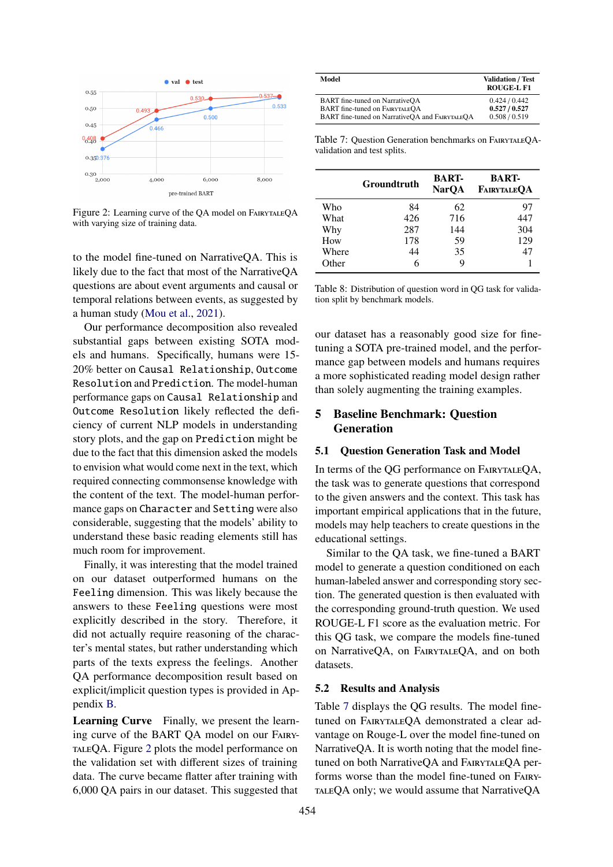<span id="page-7-0"></span>

Figure 2: Learning curve of the QA model on FAIRYTALEQA with varying size of training data.

to the model fine-tuned on NarrativeQA. This is likely due to the fact that most of the NarrativeQA questions are about event arguments and causal or temporal relations between events, as suggested by a human study [\(Mou et al.,](#page-10-6) [2021\)](#page-10-6).

Our performance decomposition also revealed substantial gaps between existing SOTA models and humans. Specifically, humans were 15- 20% better on Causal Relationship, Outcome Resolution and Prediction. The model-human performance gaps on Causal Relationship and Outcome Resolution likely reflected the deficiency of current NLP models in understanding story plots, and the gap on Prediction might be due to the fact that this dimension asked the models to envision what would come next in the text, which required connecting commonsense knowledge with the content of the text. The model-human performance gaps on Character and Setting were also considerable, suggesting that the models' ability to understand these basic reading elements still has much room for improvement.

Finally, it was interesting that the model trained on our dataset outperformed humans on the Feeling dimension. This was likely because the answers to these Feeling questions were most explicitly described in the story. Therefore, it did not actually require reasoning of the character's mental states, but rather understanding which parts of the texts express the feelings. Another QA performance decomposition result based on explicit/implicit question types is provided in Appendix [B.](#page-11-2)

Learning Curve Finally, we present the learning curve of the BART QA model on our Fairy-TALEQA. Figure [2](#page-7-0) plots the model performance on the validation set with different sizes of training data. The curve became flatter after training with 6,000 QA pairs in our dataset. This suggested that

<span id="page-7-1"></span>

| Model                                          | <b>Validation / Test</b><br><b>ROUGE-L F1</b> |
|------------------------------------------------|-----------------------------------------------|
| BART fine-tuned on NarrativeOA                 | 0.424 / 0.442                                 |
| <b>BART</b> fine-tuned on FAIRYTALEOA          | 0.527/0.527                                   |
| BART fine-tuned on NarrativeOA and FAIRYTALEOA | 0.508 / 0.519                                 |

Table 7: Question Generation benchmarks on FairytaleQAvalidation and test splits.

<span id="page-7-2"></span>

|       | Groundtruth | <b>BART-</b><br><b>NarOA</b> | <b>BART-</b><br>FAIRYTALEOA |
|-------|-------------|------------------------------|-----------------------------|
| Who   | 84          | 62                           | 97                          |
| What  | 426         | 716                          | 447                         |
| Why   | 287         | 144                          | 304                         |
| How   | 178         | 59                           | 129                         |
| Where | 44          | 35                           | 47                          |
| Other | 6           | Q                            |                             |

Table 8: Distribution of question word in QG task for validation split by benchmark models.

our dataset has a reasonably good size for finetuning a SOTA pre-trained model, and the performance gap between models and humans requires a more sophisticated reading model design rather than solely augmenting the training examples.

## 5 Baseline Benchmark: Question Generation

### 5.1 Question Generation Task and Model

In terms of the QG performance on FairytaleQA, the task was to generate questions that correspond to the given answers and the context. This task has important empirical applications that in the future, models may help teachers to create questions in the educational settings.

Similar to the QA task, we fine-tuned a BART model to generate a question conditioned on each human-labeled answer and corresponding story section. The generated question is then evaluated with the corresponding ground-truth question. We used ROUGE-L F1 score as the evaluation metric. For this QG task, we compare the models fine-tuned on NarrativeQA, on FairytaleQA, and on both datasets.

### 5.2 Results and Analysis

Table [7](#page-7-1) displays the QG results. The model finetuned on FAIRYTALEQA demonstrated a clear advantage on Rouge-L over the model fine-tuned on NarrativeQA. It is worth noting that the model finetuned on both NarrativeOA and FAIRYTALEOA performs worse than the model fine-tuned on FairytaleQA only; we would assume that NarrativeQA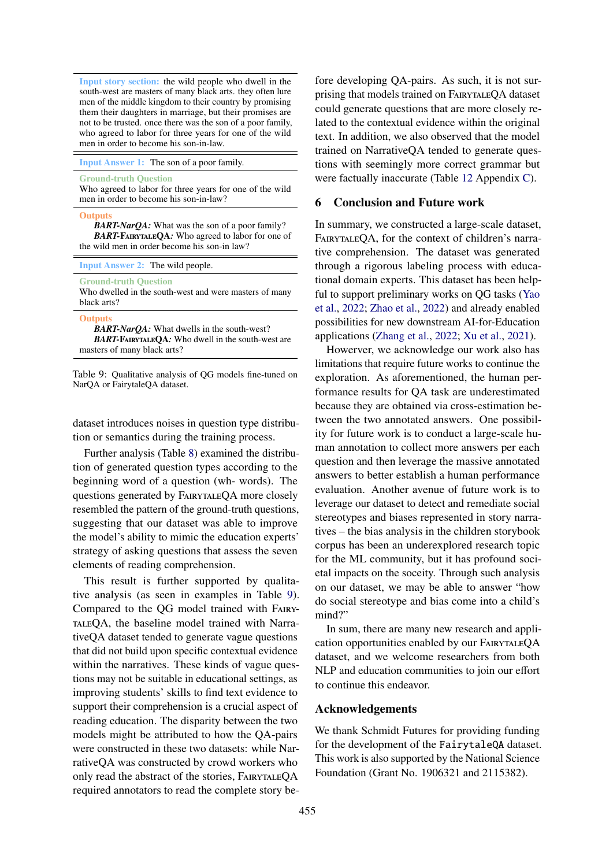<span id="page-8-0"></span>Input story section: the wild people who dwell in the south-west are masters of many black arts. they often lure men of the middle kingdom to their country by promising them their daughters in marriage, but their promises are not to be trusted. once there was the son of a poor family, who agreed to labor for three years for one of the wild men in order to become his son-in-law.

Input Answer 1: The son of a poor family.

Ground-truth Question

Who agreed to labor for three years for one of the wild men in order to become his son-in-law?

Outputs

*BART-NarQA:* What was the son of a poor family? *BART-*FairytaleQA*:* Who agreed to labor for one of the wild men in order become his son-in law?

Input Answer 2: The wild people.

Ground-truth Question

Who dwelled in the south-west and were masters of many black arts?

**Outputs** 

*BART-NarQA:* What dwells in the south-west? *BART-*FairytaleQA*:* Who dwell in the south-west are masters of many black arts?

Table 9: Qualitative analysis of QG models fine-tuned on NarQA or FairytaleQA dataset.

dataset introduces noises in question type distribution or semantics during the training process.

Further analysis (Table [8\)](#page-7-2) examined the distribution of generated question types according to the beginning word of a question (wh- words). The questions generated by FairytaleQA more closely resembled the pattern of the ground-truth questions, suggesting that our dataset was able to improve the model's ability to mimic the education experts' strategy of asking questions that assess the seven elements of reading comprehension.

This result is further supported by qualitative analysis (as seen in examples in Table [9\)](#page-8-0). Compared to the QG model trained with FairytaleQA, the baseline model trained with NarrativeQA dataset tended to generate vague questions that did not build upon specific contextual evidence within the narratives. These kinds of vague questions may not be suitable in educational settings, as improving students' skills to find text evidence to support their comprehension is a crucial aspect of reading education. The disparity between the two models might be attributed to how the QA-pairs were constructed in these two datasets: while NarrativeQA was constructed by crowd workers who only read the abstract of the stories, FairytaleQA required annotators to read the complete story before developing QA-pairs. As such, it is not surprising that models trained on FairytaleQA dataset could generate questions that are more closely related to the contextual evidence within the original text. In addition, we also observed that the model trained on NarrativeQA tended to generate questions with seemingly more correct grammar but were factually inaccurate (Table [12](#page-11-3) Appendix [C\)](#page-11-4).

### 6 Conclusion and Future work

In summary, we constructed a large-scale dataset, FAIRYTALEQA, for the context of children's narrative comprehension. The dataset was generated through a rigorous labeling process with educational domain experts. This dataset has been helpful to support preliminary works on QG tasks [\(Yao](#page-10-1) [et al.,](#page-10-1) [2022;](#page-10-1) [Zhao et al.,](#page-10-12) [2022\)](#page-10-12) and already enabled possibilities for new downstream AI-for-Education applications [\(Zhang et al.,](#page-10-2) [2022;](#page-10-2) [Xu et al.,](#page-10-13) [2021\)](#page-10-13).

Howerver, we acknowledge our work also has limitations that require future works to continue the exploration. As aforementioned, the human performance results for QA task are underestimated because they are obtained via cross-estimation between the two annotated answers. One possibility for future work is to conduct a large-scale human annotation to collect more answers per each question and then leverage the massive annotated answers to better establish a human performance evaluation. Another avenue of future work is to leverage our dataset to detect and remediate social stereotypes and biases represented in story narratives – the bias analysis in the children storybook corpus has been an underexplored research topic for the ML community, but it has profound societal impacts on the soceity. Through such analysis on our dataset, we may be able to answer "how do social stereotype and bias come into a child's mind?"

In sum, there are many new research and application opportunities enabled by our FairytaleQA dataset, and we welcome researchers from both NLP and education communities to join our effort to continue this endeavor.

## Acknowledgements

We thank Schmidt Futures for providing funding for the development of the FairytaleQA dataset. This work is also supported by the National Science Foundation (Grant No. 1906321 and 2115382).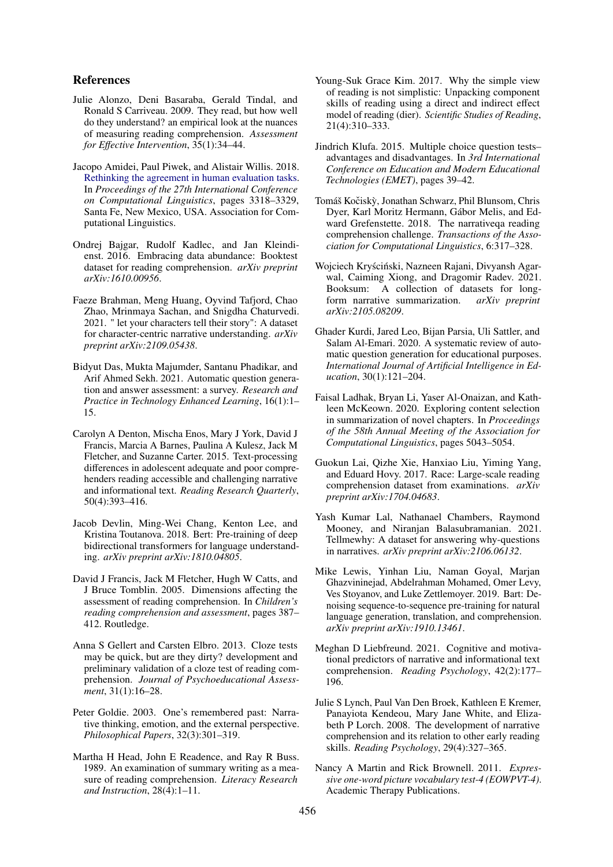### References

- <span id="page-9-6"></span>Julie Alonzo, Deni Basaraba, Gerald Tindal, and Ronald S Carriveau. 2009. They read, but how well do they understand? an empirical look at the nuances of measuring reading comprehension. *Assessment for E*ff*ective Intervention*, 35(1):34–44.
- <span id="page-9-19"></span>Jacopo Amidei, Paul Piwek, and Alistair Willis. 2018. [Rethinking the agreement in human evaluation tasks.](https://aclanthology.org/C18-1281) In *Proceedings of the 27th International Conference on Computational Linguistics*, pages 3318–3329, Santa Fe, New Mexico, USA. Association for Computational Linguistics.
- <span id="page-9-8"></span>Ondrej Bajgar, Rudolf Kadlec, and Jan Kleindienst. 2016. Embracing data abundance: Booktest dataset for reading comprehension. *arXiv preprint arXiv:1610.00956*.
- <span id="page-9-18"></span>Faeze Brahman, Meng Huang, Oyvind Tafjord, Chao Zhao, Mrinmaya Sachan, and Snigdha Chaturvedi. 2021. " let your characters tell their story": A dataset for character-centric narrative understanding. *arXiv preprint arXiv:2109.05438*.
- <span id="page-9-3"></span>Bidyut Das, Mukta Majumder, Santanu Phadikar, and Arif Ahmed Sekh. 2021. Automatic question generation and answer assessment: a survey. *Research and Practice in Technology Enhanced Learning*, 16(1):1– 15.
- <span id="page-9-13"></span>Carolyn A Denton, Mischa Enos, Mary J York, David J Francis, Marcia A Barnes, Paulina A Kulesz, Jack M Fletcher, and Suzanne Carter. 2015. Text-processing differences in adolescent adequate and poor comprehenders reading accessible and challenging narrative and informational text. *Reading Research Quarterly*, 50(4):393–416.
- <span id="page-9-21"></span>Jacob Devlin, Ming-Wei Chang, Kenton Lee, and Kristina Toutanova. 2018. Bert: Pre-training of deep bidirectional transformers for language understanding. *arXiv preprint arXiv:1810.04805*.
- <span id="page-9-1"></span>David J Francis, Jack M Fletcher, Hugh W Catts, and J Bruce Tomblin. 2005. Dimensions affecting the assessment of reading comprehension. In *Children's reading comprehension and assessment*, pages 387– 412. Routledge.
- <span id="page-9-9"></span>Anna S Gellert and Carsten Elbro. 2013. Cloze tests may be quick, but are they dirty? development and preliminary validation of a cloze test of reading comprehension. *Journal of Psychoeducational Assessment*, 31(1):16–28.
- <span id="page-9-5"></span>Peter Goldie. 2003. One's remembered past: Narrative thinking, emotion, and the external perspective. *Philosophical Papers*, 32(3):301–319.
- <span id="page-9-17"></span>Martha H Head, John E Readence, and Ray R Buss. 1989. An examination of summary writing as a measure of reading comprehension. *Literacy Research and Instruction*, 28(4):1–11.
- <span id="page-9-0"></span>Young-Suk Grace Kim. 2017. Why the simple view of reading is not simplistic: Unpacking component skills of reading using a direct and indirect effect model of reading (dier). *Scientific Studies of Reading*, 21(4):310–333.
- <span id="page-9-14"></span>Jindrich Klufa. 2015. Multiple choice question tests– advantages and disadvantages. In *3rd International Conference on Education and Modern Educational Technologies (EMET)*, pages 39–42.
- <span id="page-9-7"></span>Tomáš Kočiskỳ, Jonathan Schwarz, Phil Blunsom, Chris Dyer, Karl Moritz Hermann, Gábor Melis, and Edward Grefenstette. 2018. The narrativeqa reading comprehension challenge. *Transactions of the Association for Computational Linguistics*, 6:317–328.
- <span id="page-9-16"></span>Wojciech Kryściński, Nazneen Rajani, Divyansh Agarwal, Caiming Xiong, and Dragomir Radev. 2021. Booksum: A collection of datasets for longform narrative summarization. *arXiv preprint arXiv:2105.08209*.
- <span id="page-9-2"></span>Ghader Kurdi, Jared Leo, Bijan Parsia, Uli Sattler, and Salam Al-Emari. 2020. A systematic review of automatic question generation for educational purposes. *International Journal of Artificial Intelligence in Education*, 30(1):121–204.
- <span id="page-9-15"></span>Faisal Ladhak, Bryan Li, Yaser Al-Onaizan, and Kathleen McKeown. 2020. Exploring content selection in summarization of novel chapters. In *Proceedings of the 58th Annual Meeting of the Association for Computational Linguistics*, pages 5043–5054.
- <span id="page-9-11"></span>Guokun Lai, Qizhe Xie, Hanxiao Liu, Yiming Yang, and Eduard Hovy. 2017. Race: Large-scale reading comprehension dataset from examinations. *arXiv preprint arXiv:1704.04683*.
- <span id="page-9-10"></span>Yash Kumar Lal, Nathanael Chambers, Raymond Mooney, and Niranjan Balasubramanian. 2021. Tellmewhy: A dataset for answering why-questions in narratives. *arXiv preprint arXiv:2106.06132*.
- <span id="page-9-22"></span>Mike Lewis, Yinhan Liu, Naman Goyal, Marjan Ghazvininejad, Abdelrahman Mohamed, Omer Levy, Ves Stoyanov, and Luke Zettlemoyer. 2019. Bart: Denoising sequence-to-sequence pre-training for natural language generation, translation, and comprehension. *arXiv preprint arXiv:1910.13461*.
- <span id="page-9-12"></span>Meghan D Liebfreund. 2021. Cognitive and motivational predictors of narrative and informational text comprehension. *Reading Psychology*, 42(2):177– 196.
- <span id="page-9-4"></span>Julie S Lynch, Paul Van Den Broek, Kathleen E Kremer, Panayiota Kendeou, Mary Jane White, and Elizabeth P Lorch. 2008. The development of narrative comprehension and its relation to other early reading skills. *Reading Psychology*, 29(4):327–365.
- <span id="page-9-20"></span>Nancy A Martin and Rick Brownell. 2011. *Expressive one-word picture vocabulary test-4 (EOWPVT-4)*. Academic Therapy Publications.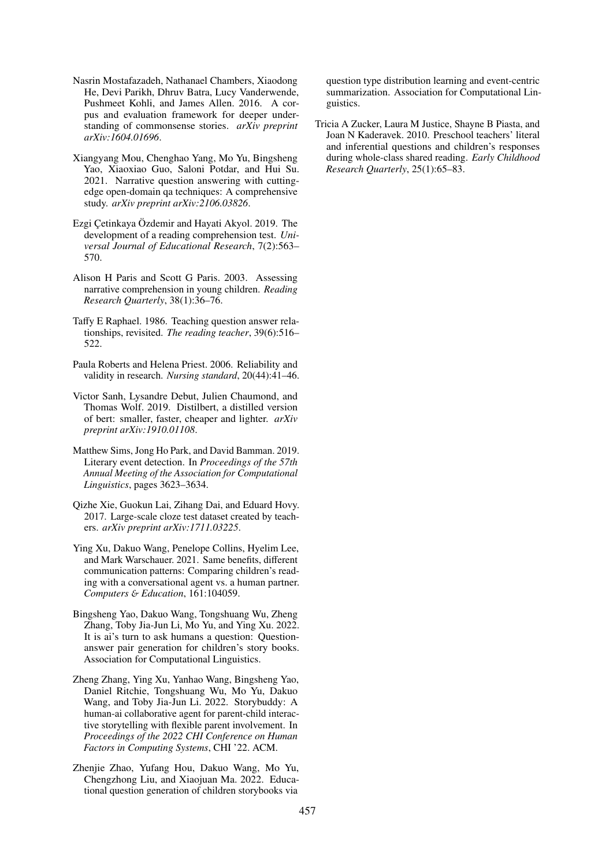- <span id="page-10-7"></span>Nasrin Mostafazadeh, Nathanael Chambers, Xiaodong He, Devi Parikh, Dhruv Batra, Lucy Vanderwende, Pushmeet Kohli, and James Allen. 2016. A corpus and evaluation framework for deeper understanding of commonsense stories. *arXiv preprint arXiv:1604.01696*.
- <span id="page-10-6"></span>Xiangyang Mou, Chenghao Yang, Mo Yu, Bingsheng Yao, Xiaoxiao Guo, Saloni Potdar, and Hui Su. 2021. Narrative question answering with cuttingedge open-domain qa techniques: A comprehensive study. *arXiv preprint arXiv:2106.03826*.
- <span id="page-10-10"></span>Ezgi Çetinkaya Özdemir and Hayati Akyol. 2019. The development of a reading comprehension test. *Universal Journal of Educational Research*, 7(2):563– 570.
- <span id="page-10-3"></span>Alison H Paris and Scott G Paris. 2003. Assessing narrative comprehension in young children. *Reading Research Quarterly*, 38(1):36–76.
- <span id="page-10-5"></span>Taffy E Raphael. 1986. Teaching question answer relationships, revisited. *The reading teacher*, 39(6):516– 522.
- <span id="page-10-0"></span>Paula Roberts and Helena Priest. 2006. Reliability and validity in research. *Nursing standard*, 20(44):41–46.
- <span id="page-10-11"></span>Victor Sanh, Lysandre Debut, Julien Chaumond, and Thomas Wolf. 2019. Distilbert, a distilled version of bert: smaller, faster, cheaper and lighter. *arXiv preprint arXiv:1910.01108*.
- <span id="page-10-9"></span>Matthew Sims, Jong Ho Park, and David Bamman. 2019. Literary event detection. In *Proceedings of the 57th Annual Meeting of the Association for Computational Linguistics*, pages 3623–3634.
- <span id="page-10-8"></span>Qizhe Xie, Guokun Lai, Zihang Dai, and Eduard Hovy. 2017. Large-scale cloze test dataset created by teachers. *arXiv preprint arXiv:1711.03225*.
- <span id="page-10-13"></span>Ying Xu, Dakuo Wang, Penelope Collins, Hyelim Lee, and Mark Warschauer. 2021. Same benefits, different communication patterns: Comparing children's reading with a conversational agent vs. a human partner. *Computers* & *Education*, 161:104059.
- <span id="page-10-1"></span>Bingsheng Yao, Dakuo Wang, Tongshuang Wu, Zheng Zhang, Toby Jia-Jun Li, Mo Yu, and Ying Xu. 2022. It is ai's turn to ask humans a question: Questionanswer pair generation for children's story books. Association for Computational Linguistics.
- <span id="page-10-2"></span>Zheng Zhang, Ying Xu, Yanhao Wang, Bingsheng Yao, Daniel Ritchie, Tongshuang Wu, Mo Yu, Dakuo Wang, and Toby Jia-Jun Li. 2022. Storybuddy: A human-ai collaborative agent for parent-child interactive storytelling with flexible parent involvement. In *Proceedings of the 2022 CHI Conference on Human Factors in Computing Systems*, CHI '22. ACM.
- <span id="page-10-12"></span>Zhenjie Zhao, Yufang Hou, Dakuo Wang, Mo Yu, Chengzhong Liu, and Xiaojuan Ma. 2022. Educational question generation of children storybooks via

question type distribution learning and event-centric summarization. Association for Computational Linguistics.

<span id="page-10-4"></span>Tricia A Zucker, Laura M Justice, Shayne B Piasta, and Joan N Kaderavek. 2010. Preschool teachers' literal and inferential questions and children's responses during whole-class shared reading. *Early Childhood Research Quarterly*, 25(1):65–83.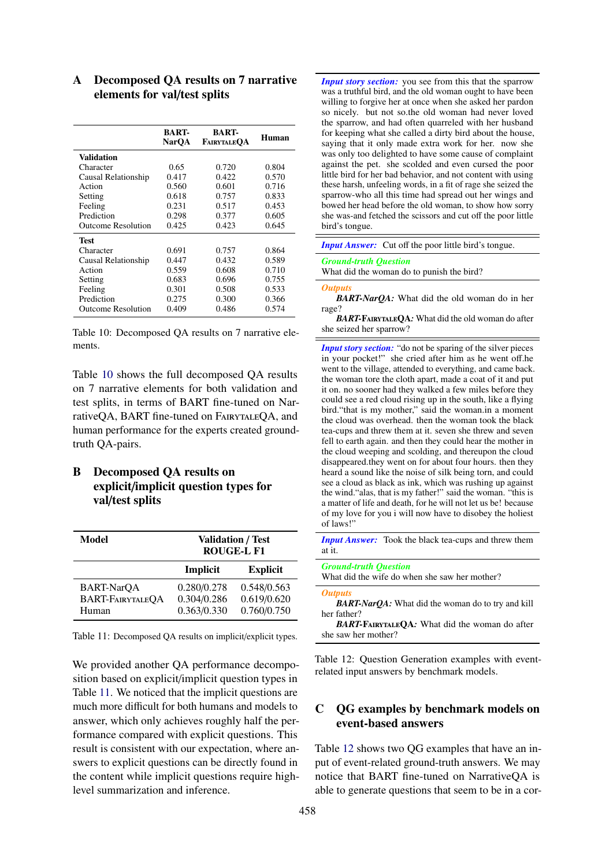<span id="page-11-0"></span>

|                           | <b>BART-</b><br><b>NarOA</b> | <b>BART-</b><br>FAIRYTALEOA | Human |
|---------------------------|------------------------------|-----------------------------|-------|
| Validation                |                              |                             |       |
| Character                 | 0.65                         | 0.720                       | 0.804 |
| Causal Relationship       | 0.417                        | 0.422                       | 0.570 |
| Action                    | 0.560                        | 0.601                       | 0.716 |
| Setting                   | 0.618                        | 0.757                       | 0.833 |
| Feeling                   | 0.231                        | 0.517                       | 0.453 |
| Prediction                | 0.298                        | 0.377                       | 0.605 |
| <b>Outcome Resolution</b> | 0.425                        | 0.423                       | 0.645 |
| <b>Test</b>               |                              |                             |       |
| Character                 | 0.691                        | 0.757                       | 0.864 |
| Causal Relationship       | 0.447                        | 0.432                       | 0.589 |
| Action                    | 0.559                        | 0.608                       | 0.710 |
| Setting                   | 0.683                        | 0.696                       | 0.755 |
| Feeling                   | 0.301                        | 0.508                       | 0.533 |
| Prediction                | 0.275                        | 0.300                       | 0.366 |
| Outcome Resolution        | 0.409                        | 0.486                       | 0.574 |

## <span id="page-11-1"></span>A Decomposed QA results on 7 narrative elements for val/test splits

Table 10: Decomposed QA results on 7 narrative elements.

Table [10](#page-11-0) shows the full decomposed QA results on 7 narrative elements for both validation and test splits, in terms of BART fine-tuned on NarrativeQA, BART fine-tuned on FairytaleQA, and human performance for the experts created groundtruth QA-pairs.

# <span id="page-11-2"></span>B Decomposed QA results on explicit/implicit question types for val/test splits

<span id="page-11-5"></span>

| <b>Model</b>      |             | <b>Validation / Test</b><br><b>ROUGE-L F1</b> |
|-------------------|-------------|-----------------------------------------------|
|                   | Implicit    | <b>Explicit</b>                               |
| <b>BART-NarOA</b> | 0.280/0.278 | 0.548/0.563                                   |
| BART-FAIRYTALEQA  | 0.304/0.286 | 0.619/0.620                                   |
| Human             | 0.363/0.330 | 0.760/0.750                                   |

Table 11: Decomposed QA results on implicit/explicit types.

We provided another QA performance decomposition based on explicit/implicit question types in Table [11.](#page-11-5) We noticed that the implicit questions are much more difficult for both humans and models to answer, which only achieves roughly half the performance compared with explicit questions. This result is consistent with our expectation, where answers to explicit questions can be directly found in the content while implicit questions require highlevel summarization and inference.

<span id="page-11-3"></span>*Input story section:* you see from this that the sparrow was a truthful bird, and the old woman ought to have been willing to forgive her at once when she asked her pardon so nicely. but not so.the old woman had never loved the sparrow, and had often quarreled with her husband for keeping what she called a dirty bird about the house, saying that it only made extra work for her. now she was only too delighted to have some cause of complaint against the pet. she scolded and even cursed the poor little bird for her bad behavior, and not content with using these harsh, unfeeling words, in a fit of rage she seized the sparrow-who all this time had spread out her wings and bowed her head before the old woman, to show how sorry she was-and fetched the scissors and cut off the poor little bird's tongue.

| <b>Input Answer:</b> Cut off the poor little bird's tongue. |  |  |  |  |  |  |
|-------------------------------------------------------------|--|--|--|--|--|--|
| $\sim$                                                      |  |  |  |  |  |  |

*Ground-truth Question* What did the woman do to punish the bird?

#### *Outputs*

*BART-NarQA:* What did the old woman do in her rage?

*BART-*FairytaleQA*:* What did the old woman do after she seized her sparrow?

*Input story section:* "do not be sparing of the silver pieces" in your pocket!" she cried after him as he went off.he went to the village, attended to everything, and came back. the woman tore the cloth apart, made a coat of it and put it on. no sooner had they walked a few miles before they could see a red cloud rising up in the south, like a flying bird."that is my mother," said the woman.in a moment the cloud was overhead. then the woman took the black tea-cups and threw them at it. seven she threw and seven fell to earth again. and then they could hear the mother in the cloud weeping and scolding, and thereupon the cloud disappeared.they went on for about four hours. then they heard a sound like the noise of silk being torn, and could see a cloud as black as ink, which was rushing up against the wind."alas, that is my father!" said the woman. "this is a matter of life and death, for he will not let us be! because of my love for you i will now have to disobey the holiest of laws!"

*Input Answer:* Took the black tea-cups and threw them at it.

| <b>Ground-truth Question</b><br>What did the wife do when she saw her mother? |
|-------------------------------------------------------------------------------|
| <b>Outputs</b><br><b>BART-NarQA:</b> What did the woman do to try and kill    |
| her father?<br>י המתות ונויות המתות                                           |

*BART-FAIRYTALEQA:* What did the woman do after she saw her mother?

Table 12: Question Generation examples with eventrelated input answers by benchmark models.

## <span id="page-11-4"></span>C QG examples by benchmark models on event-based answers

Table [12](#page-11-3) shows two QG examples that have an input of event-related ground-truth answers. We may notice that BART fine-tuned on NarrativeQA is able to generate questions that seem to be in a cor-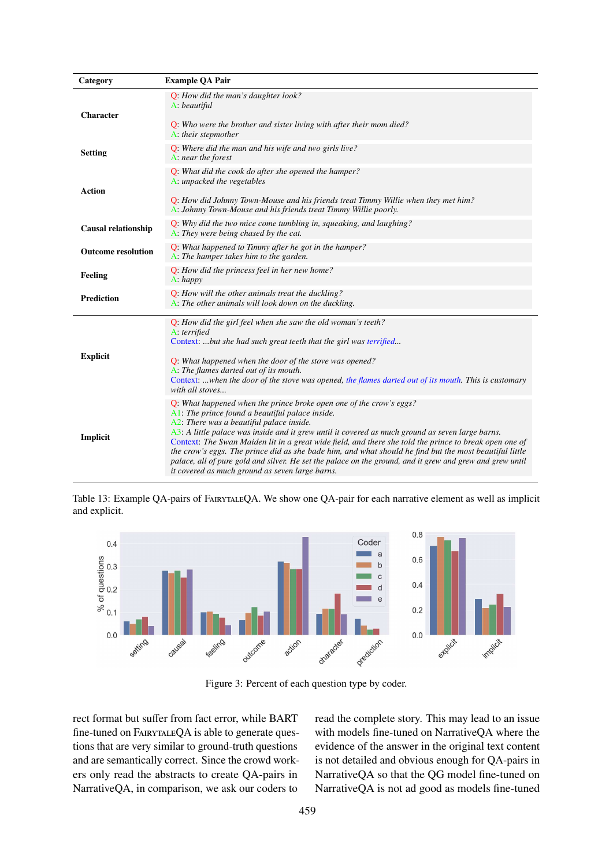<span id="page-12-0"></span>

| Category                   | <b>Example QA Pair</b>                                                                                                                                                                                                                                                                                                                                                                                                                                                                                                                                                                                                                                        |
|----------------------------|---------------------------------------------------------------------------------------------------------------------------------------------------------------------------------------------------------------------------------------------------------------------------------------------------------------------------------------------------------------------------------------------------------------------------------------------------------------------------------------------------------------------------------------------------------------------------------------------------------------------------------------------------------------|
| Character                  | Q: How did the man's daughter look?<br>A: beautiful<br>Q: Who were the brother and sister living with after their mom died?<br>A: their stepmother                                                                                                                                                                                                                                                                                                                                                                                                                                                                                                            |
| <b>Setting</b>             | Q: Where did the man and his wife and two girls live?<br>A: near the forest                                                                                                                                                                                                                                                                                                                                                                                                                                                                                                                                                                                   |
| <b>Action</b>              | Q: What did the cook do after she opened the hamper?<br>A: unpacked the vegetables<br>Q: How did Johnny Town-Mouse and his friends treat Timmy Willie when they met him?<br>A: Johnny Town-Mouse and his friends treat Timmy Willie poorly.                                                                                                                                                                                                                                                                                                                                                                                                                   |
| <b>Causal relationship</b> | Q: Why did the two mice come tumbling in, squeaking, and laughing?<br>A: They were being chased by the cat.                                                                                                                                                                                                                                                                                                                                                                                                                                                                                                                                                   |
| <b>Outcome resolution</b>  | Q: What happened to Timmy after he got in the hamper?<br>A: The hamper takes him to the garden.                                                                                                                                                                                                                                                                                                                                                                                                                                                                                                                                                               |
| Feeling                    | Q: How did the princess feel in her new home?<br>A: happy                                                                                                                                                                                                                                                                                                                                                                                                                                                                                                                                                                                                     |
| <b>Prediction</b>          | Q: How will the other animals treat the duckling?<br>A: The other animals will look down on the duckling.                                                                                                                                                                                                                                                                                                                                                                                                                                                                                                                                                     |
| <b>Explicit</b>            | Q: How did the girl feel when she saw the old woman's teeth?<br>A. terrified<br>Context: but she had such great teeth that the girl was terrified<br>Q: What happened when the door of the stove was opened?<br>A: The flames darted out of its mouth.<br>Context: when the door of the stove was opened, the flames darted out of its mouth. This is customary<br>with all stoves                                                                                                                                                                                                                                                                            |
| Implicit                   | Q: What happened when the prince broke open one of the crow's eggs?<br>$A1$ : The prince found a beautiful palace inside.<br>A2. There was a beautiful palace inside.<br>A3: A little palace was inside and it grew until it covered as much ground as seven large barns.<br>Context: The Swan Maiden lit in a great wide field, and there she told the prince to break open one of<br>the crow's eggs. The prince did as she bade him, and what should he find but the most beautiful little<br>palace, all of pure gold and silver. He set the palace on the ground, and it grew and grew and grew until<br>it covered as much ground as seven large barns. |

Table 13: Example QA-pairs of FairytaleQA. We show one QA-pair for each narrative element as well as implicit and explicit.

<span id="page-12-1"></span>

Figure 3: Percent of each question type by coder.

rect format but suffer from fact error, while BART fine-tuned on FAIRYTALEQA is able to generate questions that are very similar to ground-truth questions and are semantically correct. Since the crowd workers only read the abstracts to create QA-pairs in NarrativeQA, in comparison, we ask our coders to

read the complete story. This may lead to an issue with models fine-tuned on NarrativeQA where the evidence of the answer in the original text content is not detailed and obvious enough for QA-pairs in NarrativeQA so that the QG model fine-tuned on NarrativeQA is not ad good as models fine-tuned